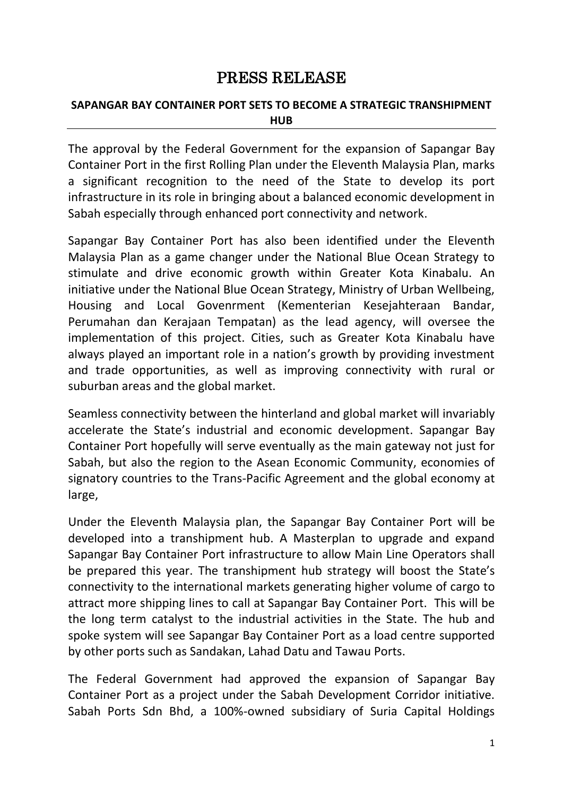## PRESS RELEASE

## **SAPANGAR BAY CONTAINER PORT SETS TO BECOME A STRATEGIC TRANSHIPMENT HUB**

The approval by the Federal Government for the expansion of Sapangar Bay Container Port in the first Rolling Plan under the Eleventh Malaysia Plan, marks a significant recognition to the need of the State to develop its port infrastructure in its role in bringing about a balanced economic development in Sabah especially through enhanced port connectivity and network.

Sapangar Bay Container Port has also been identified under the Eleventh Malaysia Plan as a game changer under the National Blue Ocean Strategy to stimulate and drive economic growth within Greater Kota Kinabalu. An initiative under the National Blue Ocean Strategy, Ministry of Urban Wellbeing, Housing and Local Govenrment (Kementerian Kesejahteraan Bandar, Perumahan dan Kerajaan Tempatan) as the lead agency, will oversee the implementation of this project. Cities, such as Greater Kota Kinabalu have always played an important role in a nation's growth by providing investment and trade opportunities, as well as improving connectivity with rural or suburban areas and the global market.

Seamless connectivity between the hinterland and global market will invariably accelerate the State's industrial and economic development. Sapangar Bay Container Port hopefully will serve eventually as the main gateway not just for Sabah, but also the region to the Asean Economic Community, economies of signatory countries to the Trans-Pacific Agreement and the global economy at large,

Under the Eleventh Malaysia plan, the Sapangar Bay Container Port will be developed into a transhipment hub. A Masterplan to upgrade and expand Sapangar Bay Container Port infrastructure to allow Main Line Operators shall be prepared this year. The transhipment hub strategy will boost the State's connectivity to the international markets generating higher volume of cargo to attract more shipping lines to call at Sapangar Bay Container Port. This will be the long term catalyst to the industrial activities in the State. The hub and spoke system will see Sapangar Bay Container Port as a load centre supported by other ports such as Sandakan, Lahad Datu and Tawau Ports.

The Federal Government had approved the expansion of Sapangar Bay Container Port as a project under the Sabah Development Corridor initiative. Sabah Ports Sdn Bhd, a 100%-owned subsidiary of Suria Capital Holdings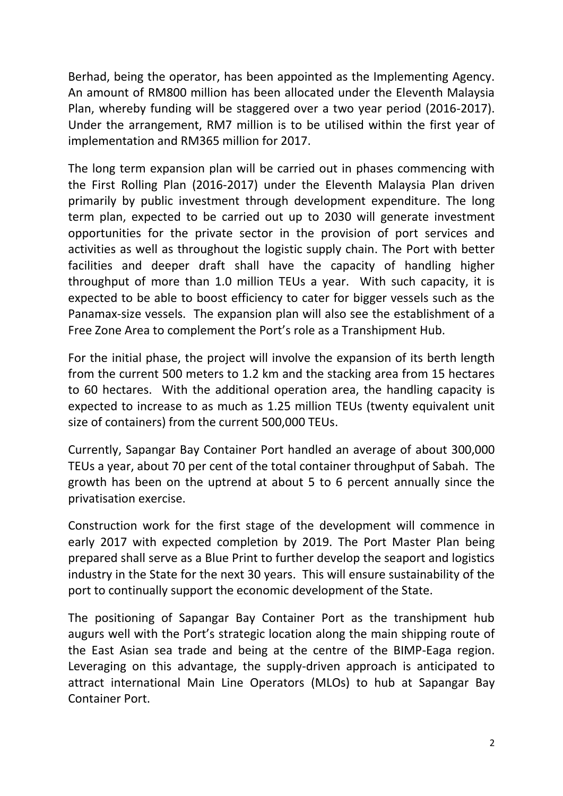Berhad, being the operator, has been appointed as the Implementing Agency. An amount of RM800 million has been allocated under the Eleventh Malaysia Plan, whereby funding will be staggered over a two year period (2016-2017). Under the arrangement, RM7 million is to be utilised within the first year of implementation and RM365 million for 2017.

The long term expansion plan will be carried out in phases commencing with the First Rolling Plan (2016-2017) under the Eleventh Malaysia Plan driven primarily by public investment through development expenditure. The long term plan, expected to be carried out up to 2030 will generate investment opportunities for the private sector in the provision of port services and activities as well as throughout the logistic supply chain. The Port with better facilities and deeper draft shall have the capacity of handling higher throughput of more than 1.0 million TEUs a year. With such capacity, it is expected to be able to boost efficiency to cater for bigger vessels such as the Panamax-size vessels. The expansion plan will also see the establishment of a Free Zone Area to complement the Port's role as a Transhipment Hub.

For the initial phase, the project will involve the expansion of its berth length from the current 500 meters to 1.2 km and the stacking area from 15 hectares to 60 hectares. With the additional operation area, the handling capacity is expected to increase to as much as 1.25 million TEUs (twenty equivalent unit size of containers) from the current 500,000 TEUs.

Currently, Sapangar Bay Container Port handled an average of about 300,000 TEUs a year, about 70 per cent of the total container throughput of Sabah. The growth has been on the uptrend at about 5 to 6 percent annually since the privatisation exercise.

Construction work for the first stage of the development will commence in early 2017 with expected completion by 2019. The Port Master Plan being prepared shall serve as a Blue Print to further develop the seaport and logistics industry in the State for the next 30 years. This will ensure sustainability of the port to continually support the economic development of the State.

The positioning of Sapangar Bay Container Port as the transhipment hub augurs well with the Port's strategic location along the main shipping route of the East Asian sea trade and being at the centre of the BIMP-Eaga region. Leveraging on this advantage, the supply-driven approach is anticipated to attract international Main Line Operators (MLOs) to hub at Sapangar Bay Container Port.